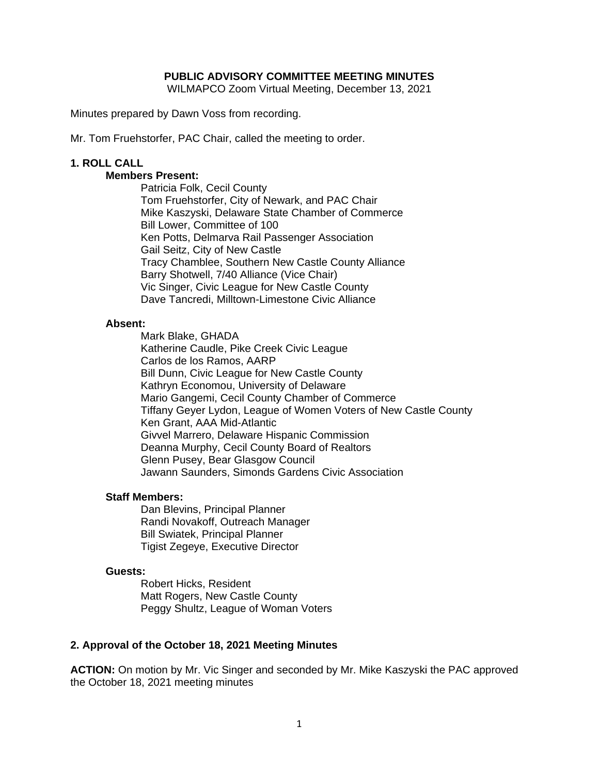## **PUBLIC ADVISORY COMMITTEE MEETING MINUTES**

WILMAPCO Zoom Virtual Meeting, December 13, 2021

Minutes prepared by Dawn Voss from recording.

Mr. Tom Fruehstorfer, PAC Chair, called the meeting to order.

## **1. ROLL CALL**

## **Members Present:**

Patricia Folk, Cecil County Tom Fruehstorfer, City of Newark, and PAC Chair Mike Kaszyski, Delaware State Chamber of Commerce Bill Lower, Committee of 100 Ken Potts, Delmarva Rail Passenger Association Gail Seitz, City of New Castle Tracy Chamblee, Southern New Castle County Alliance Barry Shotwell, 7/40 Alliance (Vice Chair) Vic Singer, Civic League for New Castle County Dave Tancredi, Milltown-Limestone Civic Alliance

#### **Absent:**

Mark Blake, GHADA Katherine Caudle, Pike Creek Civic League Carlos de los Ramos, AARP Bill Dunn, Civic League for New Castle County Kathryn Economou, University of Delaware Mario Gangemi, Cecil County Chamber of Commerce Tiffany Geyer Lydon, League of Women Voters of New Castle County Ken Grant, AAA Mid-Atlantic Givvel Marrero, Delaware Hispanic Commission Deanna Murphy, Cecil County Board of Realtors Glenn Pusey, Bear Glasgow Council Jawann Saunders, Simonds Gardens Civic Association

#### **Staff Members:**

Dan Blevins, Principal Planner Randi Novakoff, Outreach Manager Bill Swiatek, Principal Planner Tigist Zegeye, Executive Director

#### **Guests:**

 Robert Hicks, Resident Matt Rogers, New Castle County Peggy Shultz, League of Woman Voters

## **2. Approval of the October 18, 2021 Meeting Minutes**

**ACTION:** On motion by Mr. Vic Singer and seconded by Mr. Mike Kaszyski the PAC approved the October 18, 2021 meeting minutes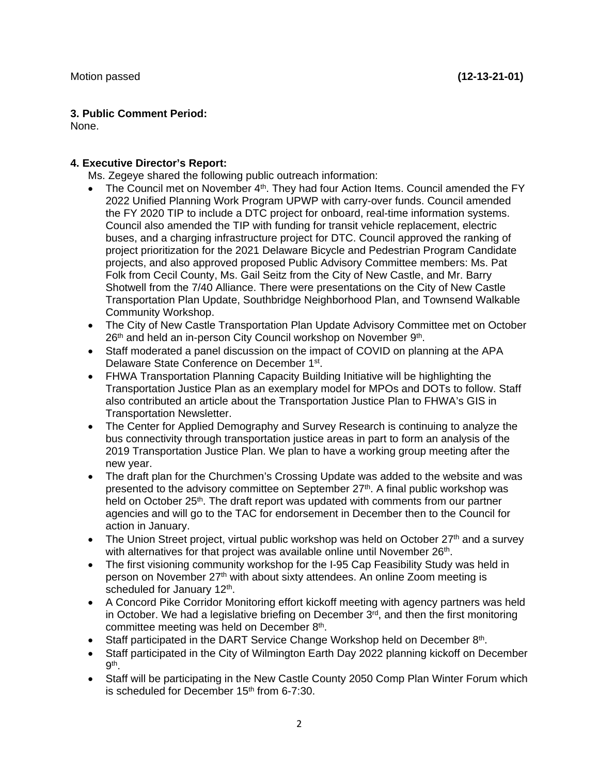# **3. Public Comment Period:**

None.

# **4. Executive Director's Report:**

Ms. Zegeye shared the following public outreach information:

- The Council met on November 4<sup>th</sup>. They had four Action Items. Council amended the FY 2022 Unified Planning Work Program UPWP with carry-over funds. Council amended the FY 2020 TIP to include a DTC project for onboard, real-time information systems. Council also amended the TIP with funding for transit vehicle replacement, electric buses, and a charging infrastructure project for DTC. Council approved the ranking of project prioritization for the 2021 Delaware Bicycle and Pedestrian Program Candidate projects, and also approved proposed Public Advisory Committee members: Ms. Pat Folk from Cecil County, Ms. Gail Seitz from the City of New Castle, and Mr. Barry Shotwell from the 7/40 Alliance. There were presentations on the City of New Castle Transportation Plan Update, Southbridge Neighborhood Plan, and Townsend Walkable Community Workshop.
- The City of New Castle Transportation Plan Update Advisory Committee met on October 26<sup>th</sup> and held an in-person City Council workshop on November 9<sup>th</sup>.
- Staff moderated a panel discussion on the impact of COVID on planning at the APA Delaware State Conference on December 1st.
- FHWA Transportation Planning Capacity Building Initiative will be highlighting the Transportation Justice Plan as an exemplary model for MPOs and DOTs to follow. Staff also contributed an article about the Transportation Justice Plan to FHWA's GIS in Transportation Newsletter.
- The Center for Applied Demography and Survey Research is continuing to analyze the bus connectivity through transportation justice areas in part to form an analysis of the 2019 Transportation Justice Plan. We plan to have a working group meeting after the new year.
- The draft plan for the Churchmen's Crossing Update was added to the website and was presented to the advisory committee on September 27<sup>th</sup>. A final public workshop was held on October 25<sup>th</sup>. The draft report was updated with comments from our partner agencies and will go to the TAC for endorsement in December then to the Council for action in January.
- The Union Street project, virtual public workshop was held on October  $27<sup>th</sup>$  and a survey with alternatives for that project was available online until November 26<sup>th</sup>.
- The first visioning community workshop for the I-95 Cap Feasibility Study was held in person on November 27<sup>th</sup> with about sixty attendees. An online Zoom meeting is scheduled for January 12<sup>th</sup>.
- A Concord Pike Corridor Monitoring effort kickoff meeting with agency partners was held in October. We had a legislative briefing on December  $3<sup>rd</sup>$ , and then the first monitoring committee meeting was held on December 8<sup>th</sup>.
- Staff participated in the DART Service Change Workshop held on December 8th.
- Staff participated in the City of Wilmington Earth Day 2022 planning kickoff on December 9th.
- Staff will be participating in the New Castle County 2050 Comp Plan Winter Forum which is scheduled for December 15<sup>th</sup> from 6-7:30.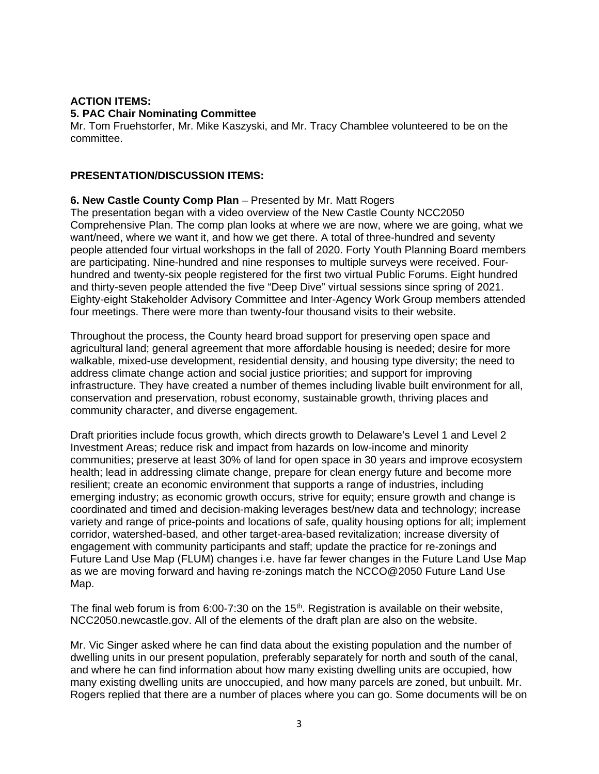# **ACTION ITEMS: 5. PAC Chair Nominating Committee**

Mr. Tom Fruehstorfer, Mr. Mike Kaszyski, and Mr. Tracy Chamblee volunteered to be on the committee.

# **PRESENTATION/DISCUSSION ITEMS:**

# **6. New Castle County Comp Plan** – Presented by Mr. Matt Rogers

The presentation began with a video overview of the New Castle County NCC2050 Comprehensive Plan. The comp plan looks at where we are now, where we are going, what we want/need, where we want it, and how we get there. A total of three-hundred and seventy people attended four virtual workshops in the fall of 2020. Forty Youth Planning Board members are participating. Nine-hundred and nine responses to multiple surveys were received. Fourhundred and twenty-six people registered for the first two virtual Public Forums. Eight hundred and thirty-seven people attended the five "Deep Dive" virtual sessions since spring of 2021. Eighty-eight Stakeholder Advisory Committee and Inter-Agency Work Group members attended four meetings. There were more than twenty-four thousand visits to their website.

Throughout the process, the County heard broad support for preserving open space and agricultural land; general agreement that more affordable housing is needed; desire for more walkable, mixed-use development, residential density, and housing type diversity; the need to address climate change action and social justice priorities; and support for improving infrastructure. They have created a number of themes including livable built environment for all, conservation and preservation, robust economy, sustainable growth, thriving places and community character, and diverse engagement.

Draft priorities include focus growth, which directs growth to Delaware's Level 1 and Level 2 Investment Areas; reduce risk and impact from hazards on low-income and minority communities; preserve at least 30% of land for open space in 30 years and improve ecosystem health; lead in addressing climate change, prepare for clean energy future and become more resilient; create an economic environment that supports a range of industries, including emerging industry; as economic growth occurs, strive for equity; ensure growth and change is coordinated and timed and decision-making leverages best/new data and technology; increase variety and range of price-points and locations of safe, quality housing options for all; implement corridor, watershed-based, and other target-area-based revitalization; increase diversity of engagement with community participants and staff; update the practice for re-zonings and Future Land Use Map (FLUM) changes i.e. have far fewer changes in the Future Land Use Map as we are moving forward and having re-zonings match the NCCO@2050 Future Land Use Map.

The final web forum is from 6:00-7:30 on the 15<sup>th</sup>. Registration is available on their website, NCC2050.newcastle.gov. All of the elements of the draft plan are also on the website.

Mr. Vic Singer asked where he can find data about the existing population and the number of dwelling units in our present population, preferably separately for north and south of the canal, and where he can find information about how many existing dwelling units are occupied, how many existing dwelling units are unoccupied, and how many parcels are zoned, but unbuilt. Mr. Rogers replied that there are a number of places where you can go. Some documents will be on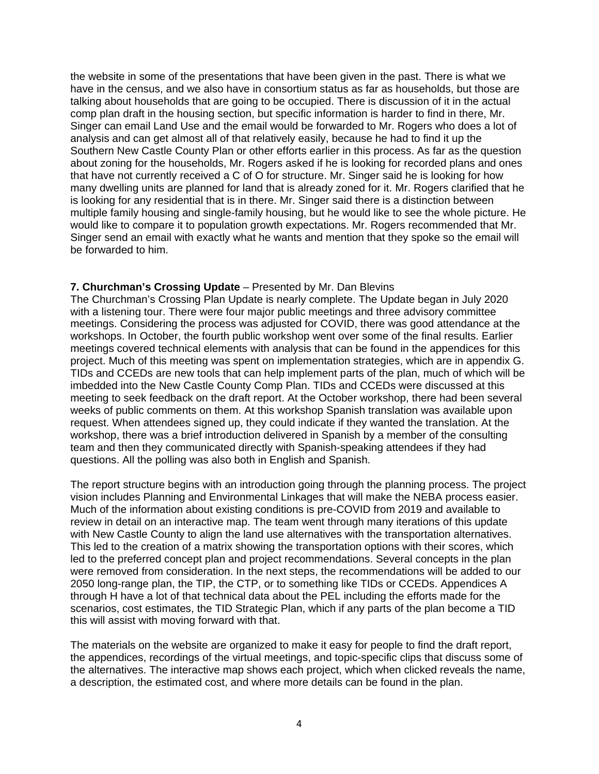the website in some of the presentations that have been given in the past. There is what we have in the census, and we also have in consortium status as far as households, but those are talking about households that are going to be occupied. There is discussion of it in the actual comp plan draft in the housing section, but specific information is harder to find in there, Mr. Singer can email Land Use and the email would be forwarded to Mr. Rogers who does a lot of analysis and can get almost all of that relatively easily, because he had to find it up the Southern New Castle County Plan or other efforts earlier in this process. As far as the question about zoning for the households, Mr. Rogers asked if he is looking for recorded plans and ones that have not currently received a C of O for structure. Mr. Singer said he is looking for how many dwelling units are planned for land that is already zoned for it. Mr. Rogers clarified that he is looking for any residential that is in there. Mr. Singer said there is a distinction between multiple family housing and single-family housing, but he would like to see the whole picture. He would like to compare it to population growth expectations. Mr. Rogers recommended that Mr. Singer send an email with exactly what he wants and mention that they spoke so the email will be forwarded to him.

## **7. Churchman's Crossing Update** – Presented by Mr. Dan Blevins

The Churchman's Crossing Plan Update is nearly complete. The Update began in July 2020 with a listening tour. There were four major public meetings and three advisory committee meetings. Considering the process was adjusted for COVID, there was good attendance at the workshops. In October, the fourth public workshop went over some of the final results. Earlier meetings covered technical elements with analysis that can be found in the appendices for this project. Much of this meeting was spent on implementation strategies, which are in appendix G. TIDs and CCEDs are new tools that can help implement parts of the plan, much of which will be imbedded into the New Castle County Comp Plan. TIDs and CCEDs were discussed at this meeting to seek feedback on the draft report. At the October workshop, there had been several weeks of public comments on them. At this workshop Spanish translation was available upon request. When attendees signed up, they could indicate if they wanted the translation. At the workshop, there was a brief introduction delivered in Spanish by a member of the consulting team and then they communicated directly with Spanish-speaking attendees if they had questions. All the polling was also both in English and Spanish.

The report structure begins with an introduction going through the planning process. The project vision includes Planning and Environmental Linkages that will make the NEBA process easier. Much of the information about existing conditions is pre-COVID from 2019 and available to review in detail on an interactive map. The team went through many iterations of this update with New Castle County to align the land use alternatives with the transportation alternatives. This led to the creation of a matrix showing the transportation options with their scores, which led to the preferred concept plan and project recommendations. Several concepts in the plan were removed from consideration. In the next steps, the recommendations will be added to our 2050 long-range plan, the TIP, the CTP, or to something like TIDs or CCEDs. Appendices A through H have a lot of that technical data about the PEL including the efforts made for the scenarios, cost estimates, the TID Strategic Plan, which if any parts of the plan become a TID this will assist with moving forward with that.

The materials on the website are organized to make it easy for people to find the draft report, the appendices, recordings of the virtual meetings, and topic-specific clips that discuss some of the alternatives. The interactive map shows each project, which when clicked reveals the name, a description, the estimated cost, and where more details can be found in the plan.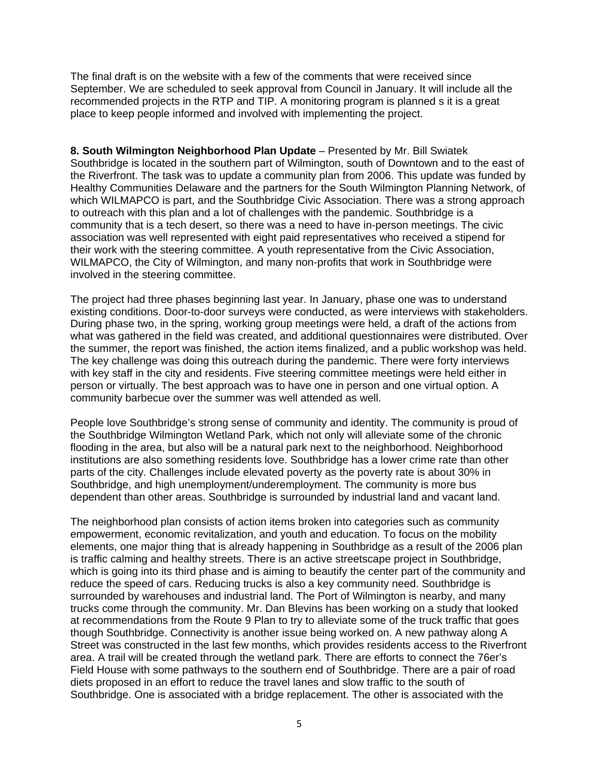The final draft is on the website with a few of the comments that were received since September. We are scheduled to seek approval from Council in January. It will include all the recommended projects in the RTP and TIP. A monitoring program is planned s it is a great place to keep people informed and involved with implementing the project.

**8. South Wilmington Neighborhood Plan Update** – Presented by Mr. Bill Swiatek Southbridge is located in the southern part of Wilmington, south of Downtown and to the east of the Riverfront. The task was to update a community plan from 2006. This update was funded by Healthy Communities Delaware and the partners for the South Wilmington Planning Network, of which WILMAPCO is part, and the Southbridge Civic Association. There was a strong approach to outreach with this plan and a lot of challenges with the pandemic. Southbridge is a community that is a tech desert, so there was a need to have in-person meetings. The civic association was well represented with eight paid representatives who received a stipend for their work with the steering committee. A youth representative from the Civic Association, WILMAPCO, the City of Wilmington, and many non-profits that work in Southbridge were involved in the steering committee.

The project had three phases beginning last year. In January, phase one was to understand existing conditions. Door-to-door surveys were conducted, as were interviews with stakeholders. During phase two, in the spring, working group meetings were held, a draft of the actions from what was gathered in the field was created, and additional questionnaires were distributed. Over the summer, the report was finished, the action items finalized, and a public workshop was held. The key challenge was doing this outreach during the pandemic. There were forty interviews with key staff in the city and residents. Five steering committee meetings were held either in person or virtually. The best approach was to have one in person and one virtual option. A community barbecue over the summer was well attended as well.

People love Southbridge's strong sense of community and identity. The community is proud of the Southbridge Wilmington Wetland Park, which not only will alleviate some of the chronic flooding in the area, but also will be a natural park next to the neighborhood. Neighborhood institutions are also something residents love. Southbridge has a lower crime rate than other parts of the city. Challenges include elevated poverty as the poverty rate is about 30% in Southbridge, and high unemployment/underemployment. The community is more bus dependent than other areas. Southbridge is surrounded by industrial land and vacant land.

The neighborhood plan consists of action items broken into categories such as community empowerment, economic revitalization, and youth and education. To focus on the mobility elements, one major thing that is already happening in Southbridge as a result of the 2006 plan is traffic calming and healthy streets. There is an active streetscape project in Southbridge, which is going into its third phase and is aiming to beautify the center part of the community and reduce the speed of cars. Reducing trucks is also a key community need. Southbridge is surrounded by warehouses and industrial land. The Port of Wilmington is nearby, and many trucks come through the community. Mr. Dan Blevins has been working on a study that looked at recommendations from the Route 9 Plan to try to alleviate some of the truck traffic that goes though Southbridge. Connectivity is another issue being worked on. A new pathway along A Street was constructed in the last few months, which provides residents access to the Riverfront area. A trail will be created through the wetland park. There are efforts to connect the 76er's Field House with some pathways to the southern end of Southbridge. There are a pair of road diets proposed in an effort to reduce the travel lanes and slow traffic to the south of Southbridge. One is associated with a bridge replacement. The other is associated with the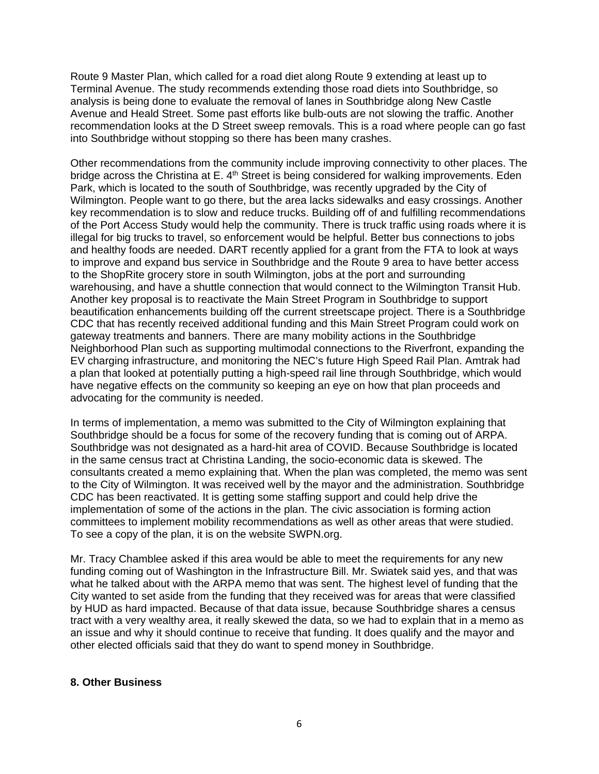Route 9 Master Plan, which called for a road diet along Route 9 extending at least up to Terminal Avenue. The study recommends extending those road diets into Southbridge, so analysis is being done to evaluate the removal of lanes in Southbridge along New Castle Avenue and Heald Street. Some past efforts like bulb-outs are not slowing the traffic. Another recommendation looks at the D Street sweep removals. This is a road where people can go fast into Southbridge without stopping so there has been many crashes.

Other recommendations from the community include improving connectivity to other places. The bridge across the Christina at E. 4<sup>th</sup> Street is being considered for walking improvements. Eden Park, which is located to the south of Southbridge, was recently upgraded by the City of Wilmington. People want to go there, but the area lacks sidewalks and easy crossings. Another key recommendation is to slow and reduce trucks. Building off of and fulfilling recommendations of the Port Access Study would help the community. There is truck traffic using roads where it is illegal for big trucks to travel, so enforcement would be helpful. Better bus connections to jobs and healthy foods are needed. DART recently applied for a grant from the FTA to look at ways to improve and expand bus service in Southbridge and the Route 9 area to have better access to the ShopRite grocery store in south Wilmington, jobs at the port and surrounding warehousing, and have a shuttle connection that would connect to the Wilmington Transit Hub. Another key proposal is to reactivate the Main Street Program in Southbridge to support beautification enhancements building off the current streetscape project. There is a Southbridge CDC that has recently received additional funding and this Main Street Program could work on gateway treatments and banners. There are many mobility actions in the Southbridge Neighborhood Plan such as supporting multimodal connections to the Riverfront, expanding the EV charging infrastructure, and monitoring the NEC's future High Speed Rail Plan. Amtrak had a plan that looked at potentially putting a high-speed rail line through Southbridge, which would have negative effects on the community so keeping an eye on how that plan proceeds and advocating for the community is needed.

In terms of implementation, a memo was submitted to the City of Wilmington explaining that Southbridge should be a focus for some of the recovery funding that is coming out of ARPA. Southbridge was not designated as a hard-hit area of COVID. Because Southbridge is located in the same census tract at Christina Landing, the socio-economic data is skewed. The consultants created a memo explaining that. When the plan was completed, the memo was sent to the City of Wilmington. It was received well by the mayor and the administration. Southbridge CDC has been reactivated. It is getting some staffing support and could help drive the implementation of some of the actions in the plan. The civic association is forming action committees to implement mobility recommendations as well as other areas that were studied. To see a copy of the plan, it is on the website SWPN.org.

Mr. Tracy Chamblee asked if this area would be able to meet the requirements for any new funding coming out of Washington in the Infrastructure Bill. Mr. Swiatek said yes, and that was what he talked about with the ARPA memo that was sent. The highest level of funding that the City wanted to set aside from the funding that they received was for areas that were classified by HUD as hard impacted. Because of that data issue, because Southbridge shares a census tract with a very wealthy area, it really skewed the data, so we had to explain that in a memo as an issue and why it should continue to receive that funding. It does qualify and the mayor and other elected officials said that they do want to spend money in Southbridge.

## **8. Other Business**